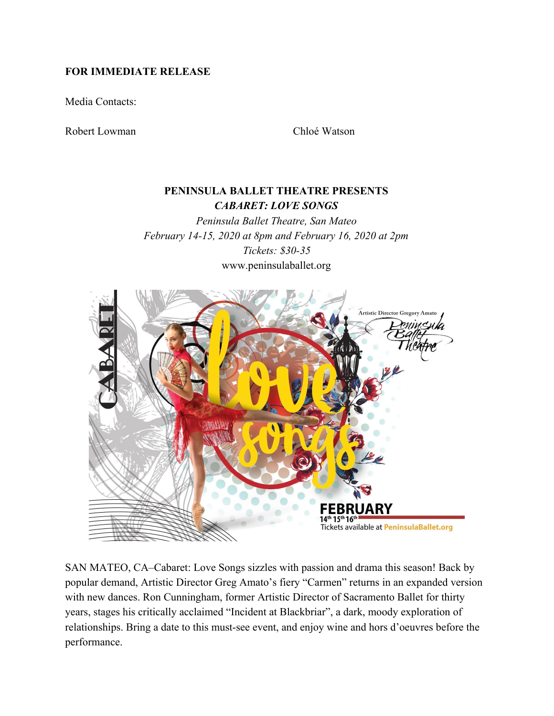## **FOR IMMEDIATE RELEASE**

Media Contacts:

Robert Lowman Chloé Watson

# **PENINSULA BALLET THEATRE PRESENTS** *CABARET: LOVE SONGS*

*Peninsula Ballet Theatre, San Mateo February 14-15, 2020 at 8pm and February 16, 2020 at 2pm Tickets: \$30-35* www.peninsulaballet.org



SAN MATEO, CA–Cabaret: Love Songs sizzles with passion and drama this season! Back by popular demand, Artistic Director Greg Amato's fiery "Carmen" returns in an expanded version with new dances. Ron Cunningham, former Artistic Director of Sacramento Ballet for thirty years, stages his critically acclaimed "Incident at Blackbriar", a dark, moody exploration of relationships. Bring a date to this must-see event, and enjoy wine and hors d'oeuvres before the performance.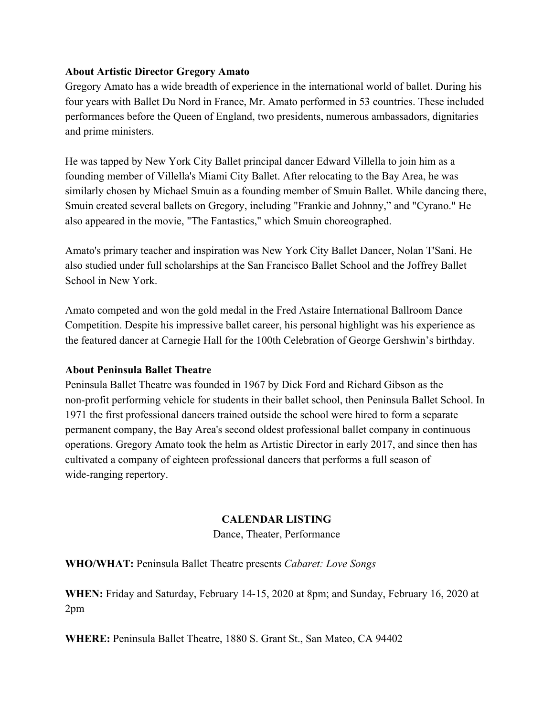## **About Artistic Director Gregory Amato**

Gregory Amato has a wide breadth of experience in the international world of ballet. During his four years with Ballet Du Nord in France, Mr. Amato performed in 53 countries. These included performances before the Queen of England, two presidents, numerous ambassadors, dignitaries and prime ministers.

He was tapped by New York City Ballet principal dancer Edward Villella to join him as a founding member of Villella's Miami City Ballet. After relocating to the Bay Area, he was similarly chosen by Michael Smuin as a founding member of Smuin Ballet. While dancing there, Smuin created several ballets on Gregory, including "Frankie and Johnny," and "Cyrano." He also appeared in the movie, "The Fantastics," which Smuin choreographed.

Amato's primary teacher and inspiration was New York City Ballet Dancer, Nolan T'Sani. He also studied under full scholarships at the San Francisco Ballet School and the Joffrey Ballet School in New York.

Amato competed and won the gold medal in the Fred Astaire International Ballroom Dance Competition. Despite his impressive ballet career, his personal highlight was his experience as the featured dancer at Carnegie Hall for the 100th Celebration of George Gershwin's birthday.

## **About Peninsula Ballet Theatre**

Peninsula Ballet Theatre was founded in 1967 by Dick Ford and Richard Gibson as the non-profit performing vehicle for students in their ballet school, then Peninsula Ballet School. In 1971 the first professional dancers trained outside the school were hired to form a separate permanent company, the Bay Area's second oldest professional ballet company in continuous operations. Gregory Amato took the helm as Artistic Director in early 2017, and since then has cultivated a company of eighteen professional dancers that performs a full season of wide-ranging repertory.

## **CALENDAR LISTING**

Dance, Theater, Performance

**WHO/WHAT:** Peninsula Ballet Theatre presents *Cabaret: Love Songs*

**WHEN:** Friday and Saturday, February 14-15, 2020 at 8pm; and Sunday, February 16, 2020 at 2pm

**WHERE:** Peninsula Ballet Theatre, 1880 S. Grant St., San Mateo, CA 94402